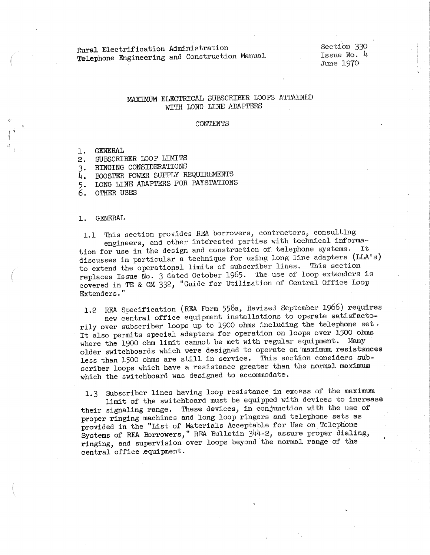Rural Electrification Administration Telephone Engineering and Construction Manual Section 330 Issue No. 4 June 19'70

## MAXIMUM ELECTRICAL SUBSCRIBER LOOPS ATTAINED WITH LONG LINE ADAPTERS

#### CONTENTS

1. GENERAL

- 2. SUBSCRIBER LOOP LIMITS
- 3. RINGING CONSIDERATIONS
- 4. IDOSTER POWER SUPPLY REQUIREMENTS
- 5. LONG LINE ADAPTERS FOR PAYSTATIONS
- 6. OTHER USES

### 1. GENERAL

1.1 This section provides REA borrowers, contractors, consulting engineers, and other interested parties with technical information for use in the design and construction of telephone systems. It discusses in particular a technique for using long line adapters (LLA's) to extend the operational limits of subscriber lines. This section replaces Issue No. 3 dated October 1965. The use of loop extenders is covered in TE & CM 332, "Guide for Utilization of Central Office Ioop Extenders."

1.2 REA Specification (REA Form 558a, Revised September 1966) requires new central office equipment installations to operate satisfactorily over subscriber loops up to 1900 ohms including the telephone set . It also permits special adapters for operation on loops over 1500 ohms where the 1900 ohm limit cannot be met with regular equipment. Many older switchboards which were designed to operate on'maximum resistances less than 1500 ohms are still in service. This section considers subscriber loops which have a resistance greater than the normal maximum. which the switchboard was designed to accommodate.

1.3 Subscriber lines having loop resistance in excess of the maximum limit of the switchboard must be equipped with devices to increase their signaling range. These devices, in conjunction with the use of proper ringing machines and long loop ringers and telephone sets as provided in the "List of Materials Acceptable for Use on.Telephone Systems of REA Eorrowers," REA Bulletin 344-2, assure proper dialing, ringing, and supervision over loops beyond the normal range of the central office ,equipment.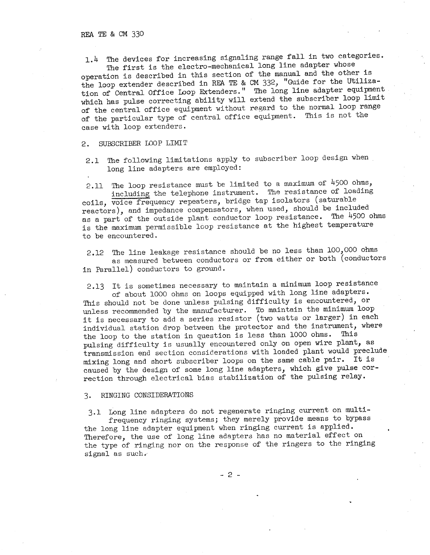<sup>L</sup><sup>4</sup>The devices for increasing signaling range fall in two categories. The first is the electro-mechanical long line adapter whose

operation is described in this section of the manual and the other is the loop extender described in REA *TE* & CM 332, "Guide for the Utilization of Central Office Loop Extenders." The long line adapter equipment which has pulse correcting ability will extend the subscriber loop limit of the central office equipment without regard to the normal loop range of the particular type of central office equipment. This is not the case with loop extenders.

2. SUBSCRIBER LOOP LIMIT

2.1 The following limitations apply to subscriber loop design when long line adapters are employed:

2.11 The loop resistance must be limited to a maximum of 4500 ohms, including the telephone instrument. The resistance of loading coils, voice frequency repeaters, bridge tap isolators (saturable reactors), and impedance compensators, when used, should be included as a part of the outside plant conductor loop resistance. The 4500 ohms is the maximum permissible loop resistance at the highest temperature to be encountered.

2.12 The line leakage resistance should be no less than 100,000 ohms as measured between conductors or from either or both (conductors in Parallel) conductors to ground.

2.13 It is sometimes necessary to maintain a minimum loop resistance of about 1000 ohms on loops equipped with long line adapters. This should not be done unless pulsing difficulty is encountered, or unless recommended by the manufacturer. To maintain the minimum loop it is necessary to add a series resistor (two watts or larger) in each individual station drop between the protector and the instrument, where the loop to the station in question is less than 1000 ohms. This pulsing difficulty is usually encountered only on open wire plant, as transmission end section considerations with loaded plant would preclude mixing long and short subscriber loops on the same cable pair. It is caused by the design of some long line adapters, which give pulse correction through electrical bias stabilization of the pulsing relay.

### 3. RINGING CONSIDERATIONS

3.1 Long line adapters do not regenerate ringing current on multifrequency ringing systems; they merely provide means to bypass the long line adapter equipment when ringing current is applied. Therefore, the use of long line adapters has no material effect on the type of ringing nor on the response of the ringers to the ringing signal as such.

- 2 -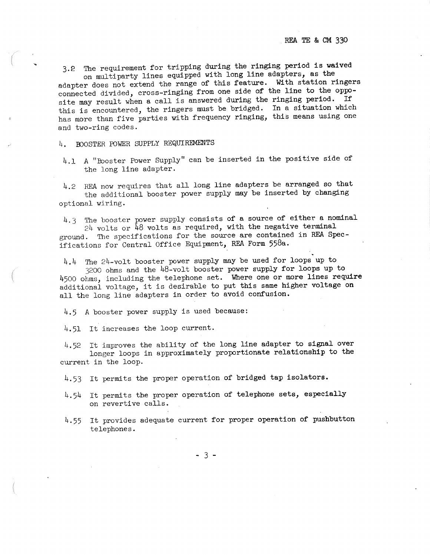3.e The requirement for tripping during the ringing period is waived on multiparty lines equipped with long line adapters, as the

adapter does not extend the range of this feature. With station ringers connected divided, cross-ringing from one side of the line to the opposite may result when a call is answered during the ringing period. If this is encountered, the ringers must be bridged. In a situation which has more than five parties with frequency ringing, this means using one and two-ring codes.

4. BOOSTER POWER SUPPLY REQUIREMENTS

...

4.1 A "Booster Power Supply" can be inserted in the positive side of the long line adapter.

4.2 REA now requires that all long line adapters be arranged so that the additional booster power supply may be inserted by changing optional wiring.

4.3 The booster power supply consists of a source of either a nominal  $24$  volts or  $\overline{48}$  volts as required, with the negative terminal ground. The specifications for the source are contained in REA Specifications for Central Office Equipment, REA Form 558a.

4.4 The 24-volt booster power supply may be used for loops up to 3200 ohms and the 48-volt booster power supply for loops up to 4500 ohms, including the telephone set. Where one or more lines require additional voltage, it is desirable to put this same higher voltage on all the long line adapters in order to avoid confusion.

4.5 A booster power supply is used because:

4.51 It increases the loop current.

4.52 It improves the ability of the long line adapter to signal over longer loops in approximately proportionate relationship to the current in the loop.

4.53 It permits the proper operation of bridged tap isolators.

4.54 It permits the proper operation of telephone sets, especially on revertive calls.

4.55 It provides adequate current for proper operation of pushbutton telephones.

- 3 -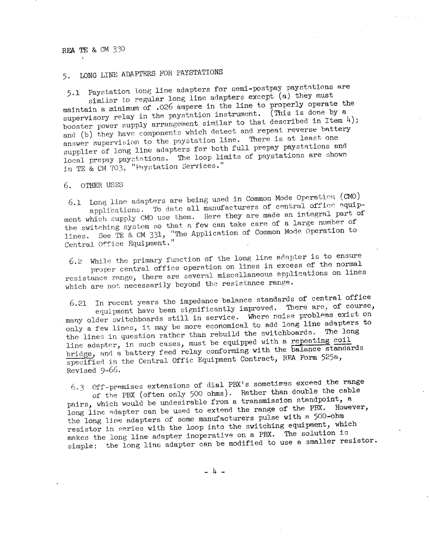# 5. LONG LINE ADAPTERS FOR PAYSTATIONS

5.1 Paystation long line adapters for semi-postpay paystations are similar to regular long line adapters except (a) they must maintain a minimum of .026 ampere in the line to properly operate the supervisory relay in the paystation instrument. (This is done by a booster power supply arrangement similar to that described in Item  $4$ ); and (b) they have components which detect and repeat reverse battery answer supervision to the paystation line. There is at least one supplier of long line adapters for both full prepay paystations and local prepay paystations. The loop limits of paystations are shown in TE & CM 703, "Paystation Services."

6. OTHER USES

6.1 Long line adapters are being used in Common Mode Operation (CMO) applications. To date all manufacturers of central office equipment which supply CMO use them. Here they are made an integral part of the switching system so that a few can take care of a large number of lines. See TE & CM 331, "The Application of Common Mode Operation to Central Office Equipment."

6.2 While the primary function of the long line adapter is to ensure proper central office operation on lines in excess of the normal resistance range, there are several miscellaneous applications on lines which are not necessarily beyond the resistance range.

In recent years the impedance balance standards of central office 6.21 equipment have been significantly improved. There are, of course, many older switchboards still in service. Where noise problems exist on only a few lines, it may be more economical to add long line adapters to the lines in question rather than rebuild the switchboards. The long line adapter, in such cases, must be equipped with a repeating coil bridge, and a battery feed relay conforming with the balance standards specified in the Central Offic Equipment Contract, REA Form 525a, Revised 9-66.

6.3 Off-premises extensions of dial PRX's sometimes exceed the range of the PBX (often only 500 ohms). Rather than double the cable

pairs, which would be undesirable from a transmission standpoint, a long line adapter can be used to extend the range of the PRX. However, the long line adapters of some manufacturers pulse with a 500-ohm resistor in series with the loop into the switching equipment, which makes the long line adapter inoperative on a PBX. The solution is simple: the long line adapter can be modified to use a smaller resistor.

 $-4 -$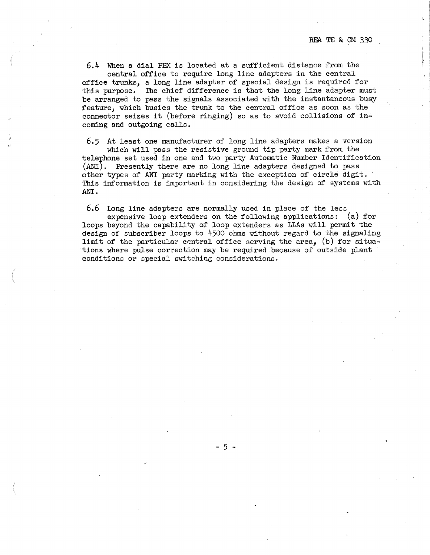6.4 When a dial PBX is located at a sufficient distance from the central office to require long line adapters in the central

office trunks, a long line adapter of special design is required for this purpose. The chief difference is that the long line adapter must be arranged to pass the signals associated with the instantaneous busy feature, which busies the trunk to the central office as soon as the connector seizes it (before ringing) so as to avoid collisions of incoming and outgoing calls.

6.5 At least one manufacturer of long line adapters makes a version which will pass the resistive ground tip party mark from the telephone set used in one and two party Automatic Number Identification (ANI). Presently there are no long line adapters designed to pass other types of ANI party marking with the exception of circle digit. This information is important in considering the design of systems with **ANI.** 

6.6 Long line adapters are normally used in place of the less expensive loop extenders on the following applications: (a) for loops beyond the capability of loop extenders as LLAs will permit the design of subscriber loops to 4500 ohms without regard to the signaling limit of the particular central office serving the area, (b) for situa- •tions where pulse correction may be required because of outside plant conditions or special switching considerations.

- 5 -